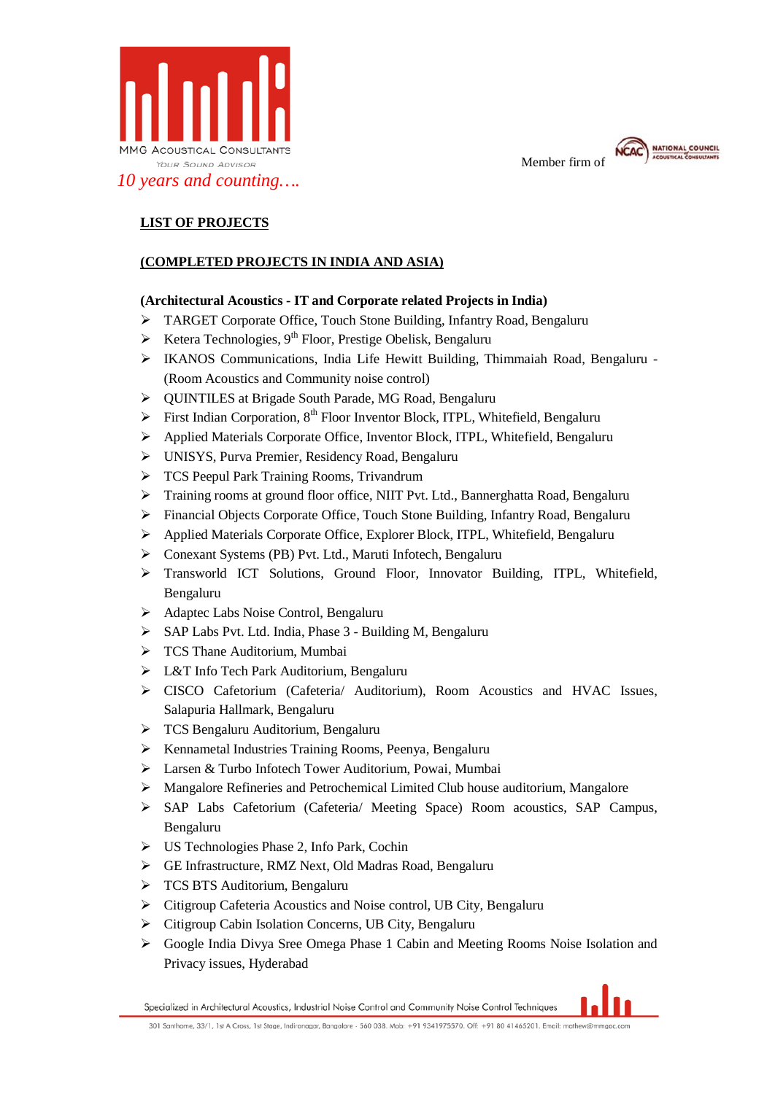

Member firm of



# **LIST OF PROJECTS**

# **(COMPLETED PROJECTS IN INDIA AND ASIA)**

## **(Architectural Acoustics - IT and Corporate related Projects in India)**

- TARGET Corporate Office, Touch Stone Building, Infantry Road, Bengaluru
- Exetera Technologies, 9<sup>th</sup> Floor, Prestige Obelisk, Bengaluru
- IKANOS Communications, India Life Hewitt Building, Thimmaiah Road, Bengaluru (Room Acoustics and Community noise control)
- ▶ OUINTILES at Brigade South Parade, MG Road, Bengaluru
- First Indian Corporation,  $8<sup>th</sup>$  Floor Inventor Block, ITPL, Whitefield, Bengaluru
- Applied Materials Corporate Office, Inventor Block, ITPL, Whitefield, Bengaluru
- UNISYS, Purva Premier, Residency Road, Bengaluru
- TCS Peepul Park Training Rooms, Trivandrum
- Training rooms at ground floor office, NIIT Pvt. Ltd., Bannerghatta Road, Bengaluru
- Financial Objects Corporate Office, Touch Stone Building, Infantry Road, Bengaluru
- Applied Materials Corporate Office, Explorer Block, ITPL, Whitefield, Bengaluru
- Conexant Systems (PB) Pvt. Ltd., Maruti Infotech, Bengaluru
- Transworld ICT Solutions, Ground Floor, Innovator Building, ITPL, Whitefield, Bengaluru
- > Adaptec Labs Noise Control, Bengaluru
- SAP Labs Pvt. Ltd. India, Phase 3 Building M, Bengaluru
- > TCS Thane Auditorium, Mumbai
- L&T Info Tech Park Auditorium, Bengaluru
- CISCO Cafetorium (Cafeteria/ Auditorium), Room Acoustics and HVAC Issues, Salapuria Hallmark, Bengaluru
- TCS Bengaluru Auditorium, Bengaluru
- $\triangleright$  Kennametal Industries Training Rooms, Peenya, Bengaluru
- Larsen & Turbo Infotech Tower Auditorium, Powai, Mumbai
- Mangalore Refineries and Petrochemical Limited Club house auditorium, Mangalore
- SAP Labs Cafetorium (Cafeteria/ Meeting Space) Room acoustics, SAP Campus, Bengaluru
- US Technologies Phase 2, Info Park, Cochin
- GE Infrastructure, RMZ Next, Old Madras Road, Bengaluru
- > TCS BTS Auditorium, Bengaluru
- Citigroup Cafeteria Acoustics and Noise control, UB City, Bengaluru
- Citigroup Cabin Isolation Concerns, UB City, Bengaluru
- Google India Divya Sree Omega Phase 1 Cabin and Meeting Rooms Noise Isolation and Privacy issues, Hyderabad

Specialized in Architectural Acoustics, Industrial Noise Control and Community Noise Control Techniques

301 Santhome, 33/1, 1st A Cross, 1st Stage, Indiranagar, Bangalore - 560 038. Mob: +91 9341975570. Off: +91 80 41465201. Email: mathew@mmgac.com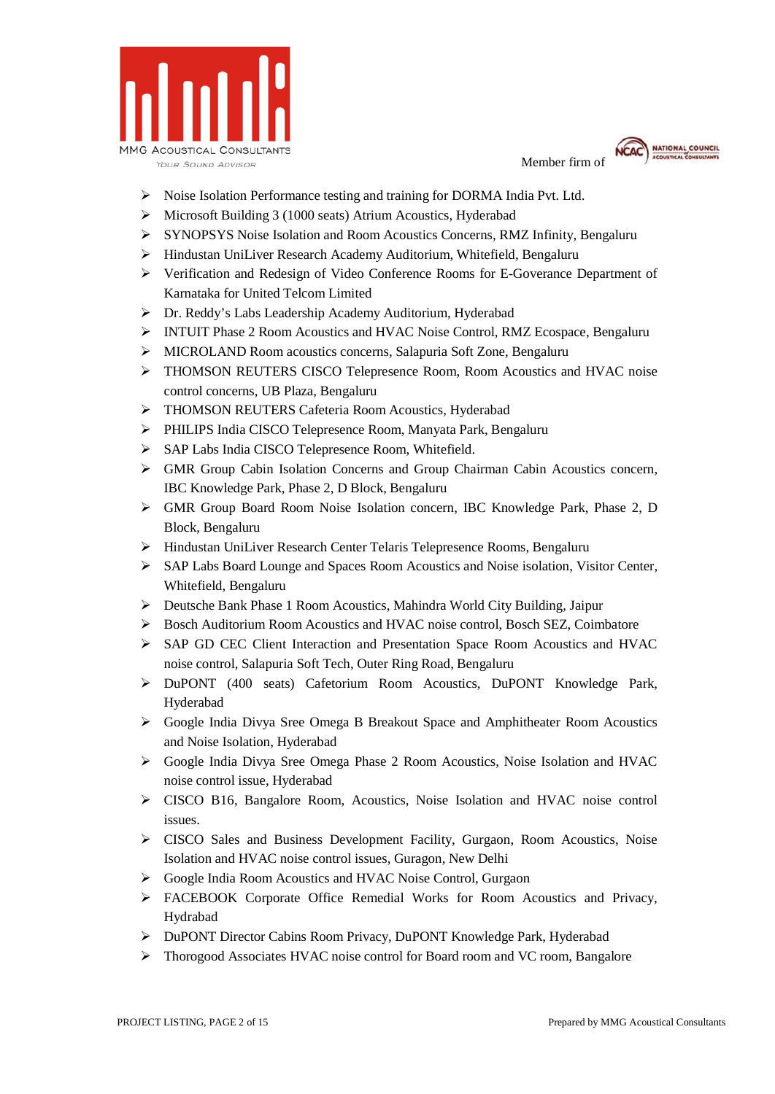



- $\triangleright$  Noise Isolation Performance testing and training for DORMA India Pvt. Ltd.
- Microsoft Building 3 (1000 seats) Atrium Acoustics, Hyderabad
- SYNOPSYS Noise Isolation and Room Acoustics Concerns, RMZ Infinity, Bengaluru
- Hindustan UniLiver Research Academy Auditorium, Whitefield, Bengaluru
- Verification and Redesign of Video Conference Rooms for E-Goverance Department of Karnataka for United Telcom Limited
- Dr. Reddy's Labs Leadership Academy Auditorium, Hyderabad
- INTUIT Phase 2 Room Acoustics and HVAC Noise Control, RMZ Ecospace, Bengaluru
- MICROLAND Room acoustics concerns, Salapuria Soft Zone, Bengaluru
- THOMSON REUTERS CISCO Telepresence Room, Room Acoustics and HVAC noise control concerns, UB Plaza, Bengaluru
- > THOMSON REUTERS Cafeteria Room Acoustics, Hyderabad
- PHILIPS India CISCO Telepresence Room, Manyata Park, Bengaluru
- SAP Labs India CISCO Telepresence Room, Whitefield.
- GMR Group Cabin Isolation Concerns and Group Chairman Cabin Acoustics concern, IBC Knowledge Park, Phase 2, D Block, Bengaluru
- GMR Group Board Room Noise Isolation concern, IBC Knowledge Park, Phase 2, D Block, Bengaluru
- Hindustan UniLiver Research Center Telaris Telepresence Rooms, Bengaluru
- SAP Labs Board Lounge and Spaces Room Acoustics and Noise isolation, Visitor Center, Whitefield, Bengaluru
- Deutsche Bank Phase 1 Room Acoustics, Mahindra World City Building, Jaipur
- Bosch Auditorium Room Acoustics and HVAC noise control, Bosch SEZ, Coimbatore
- SAP GD CEC Client Interaction and Presentation Space Room Acoustics and HVAC noise control, Salapuria Soft Tech, Outer Ring Road, Bengaluru
- DuPONT (400 seats) Cafetorium Room Acoustics, DuPONT Knowledge Park, Hyderabad
- Google India Divya Sree Omega B Breakout Space and Amphitheater Room Acoustics and Noise Isolation, Hyderabad
- Google India Divya Sree Omega Phase 2 Room Acoustics, Noise Isolation and HVAC noise control issue, Hyderabad
- CISCO B16, Bangalore Room, Acoustics, Noise Isolation and HVAC noise control issues.
- CISCO Sales and Business Development Facility, Gurgaon, Room Acoustics, Noise Isolation and HVAC noise control issues, Guragon, New Delhi
- Google India Room Acoustics and HVAC Noise Control, Gurgaon
- FACEBOOK Corporate Office Remedial Works for Room Acoustics and Privacy, Hydrabad
- DuPONT Director Cabins Room Privacy, DuPONT Knowledge Park, Hyderabad
- Thorogood Associates HVAC noise control for Board room and VC room, Bangalore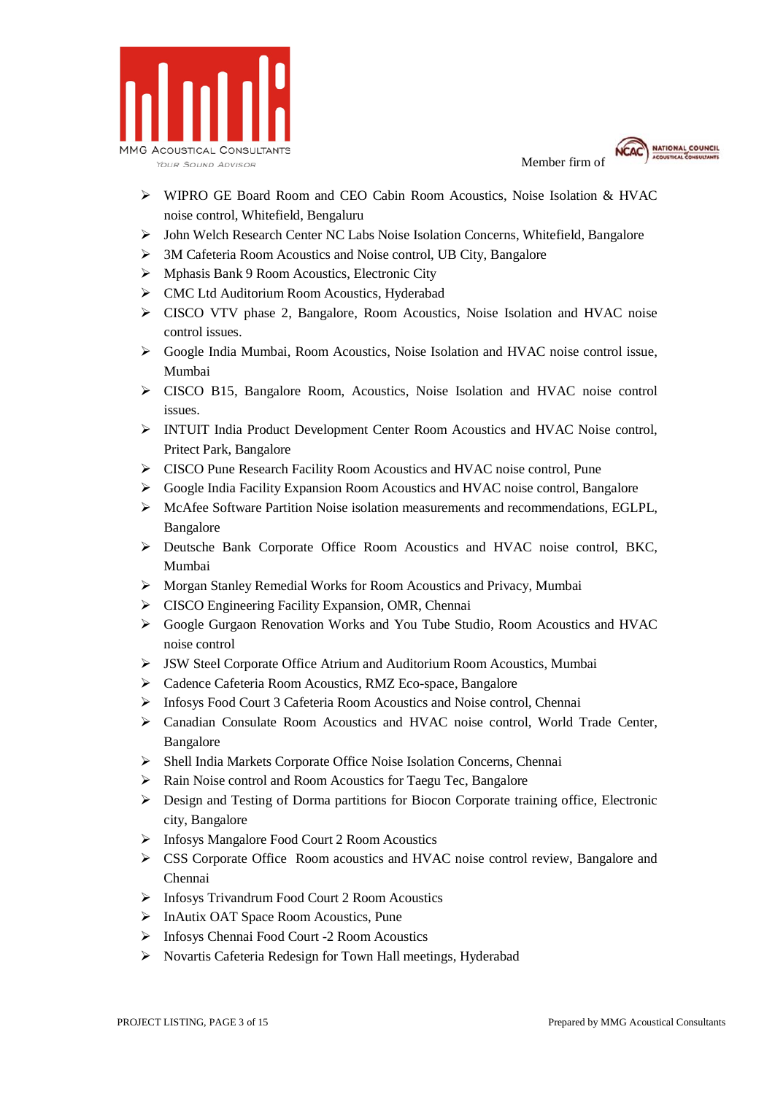



- WIPRO GE Board Room and CEO Cabin Room Acoustics, Noise Isolation & HVAC noise control, Whitefield, Bengaluru
- John Welch Research Center NC Labs Noise Isolation Concerns, Whitefield, Bangalore
- 3M Cafeteria Room Acoustics and Noise control, UB City, Bangalore
- $\triangleright$  Mphasis Bank 9 Room Acoustics, Electronic City
- CMC Ltd Auditorium Room Acoustics, Hyderabad
- CISCO VTV phase 2, Bangalore, Room Acoustics, Noise Isolation and HVAC noise control issues.
- Google India Mumbai, Room Acoustics, Noise Isolation and HVAC noise control issue, Mumbai
- CISCO B15, Bangalore Room, Acoustics, Noise Isolation and HVAC noise control issues.
- INTUIT India Product Development Center Room Acoustics and HVAC Noise control, Pritect Park, Bangalore
- CISCO Pune Research Facility Room Acoustics and HVAC noise control, Pune
- Google India Facility Expansion Room Acoustics and HVAC noise control, Bangalore
- $\triangleright$  McAfee Software Partition Noise isolation measurements and recommendations, EGLPL, Bangalore
- Deutsche Bank Corporate Office Room Acoustics and HVAC noise control, BKC, Mumbai
- Morgan Stanley Remedial Works for Room Acoustics and Privacy, Mumbai
- $\triangleright$  CISCO Engineering Facility Expansion, OMR, Chennai
- Google Gurgaon Renovation Works and You Tube Studio, Room Acoustics and HVAC noise control
- JSW Steel Corporate Office Atrium and Auditorium Room Acoustics, Mumbai
- Cadence Cafeteria Room Acoustics, RMZ Eco-space, Bangalore
- Infosys Food Court 3 Cafeteria Room Acoustics and Noise control, Chennai
- Canadian Consulate Room Acoustics and HVAC noise control, World Trade Center, Bangalore
- Shell India Markets Corporate Office Noise Isolation Concerns, Chennai
- $\triangleright$  Rain Noise control and Room Acoustics for Taegu Tec, Bangalore
- $\triangleright$  Design and Testing of Dorma partitions for Biocon Corporate training office, Electronic city, Bangalore
- Infosys Mangalore Food Court 2 Room Acoustics
- CSS Corporate Office Room acoustics and HVAC noise control review, Bangalore and Chennai
- Infosys Trivandrum Food Court 2 Room Acoustics
- > InAutix OAT Space Room Acoustics, Pune
- Infosys Chennai Food Court -2 Room Acoustics
- $\triangleright$  Novartis Cafeteria Redesign for Town Hall meetings, Hyderabad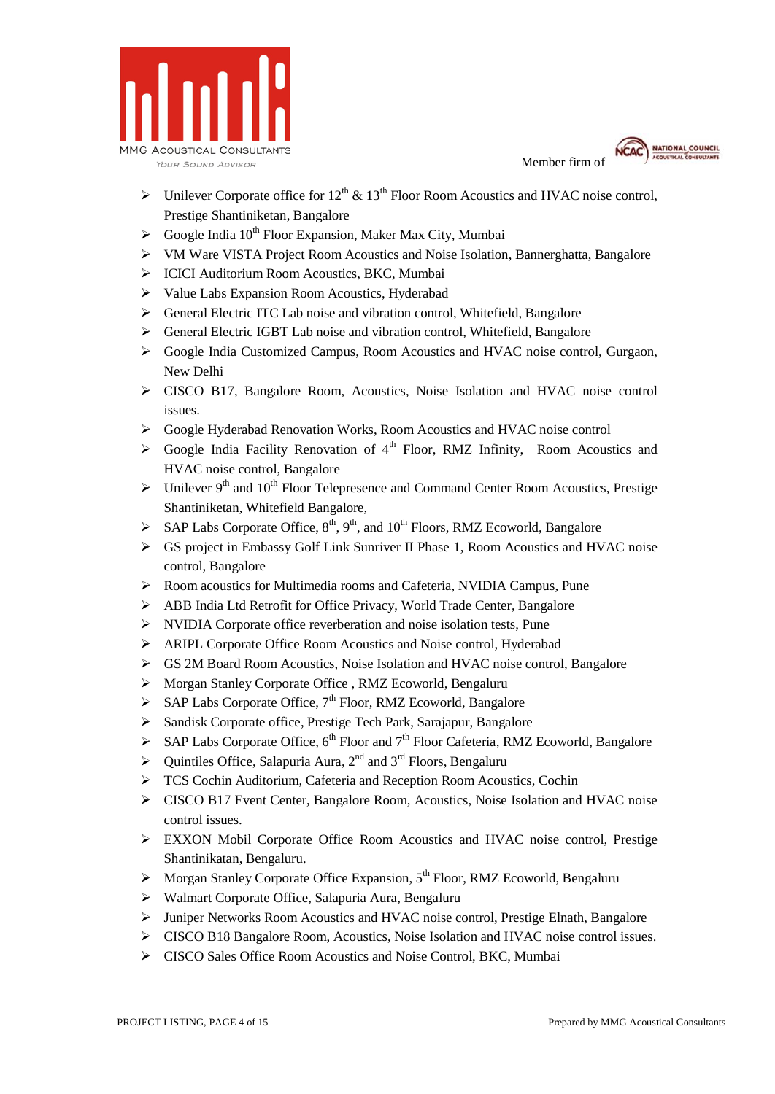



- $\triangleright$  Unilever Corporate office for 12<sup>th</sup> & 13<sup>th</sup> Floor Room Acoustics and HVAC noise control, Prestige Shantiniketan, Bangalore
- $\triangleright$  Google India 10<sup>th</sup> Floor Expansion, Maker Max City, Mumbai
- VM Ware VISTA Project Room Acoustics and Noise Isolation, Bannerghatta, Bangalore
- ICICI Auditorium Room Acoustics, BKC, Mumbai
- $\triangleright$  Value Labs Expansion Room Acoustics, Hyderabad
- General Electric ITC Lab noise and vibration control, Whitefield, Bangalore
- General Electric IGBT Lab noise and vibration control, Whitefield, Bangalore
- Google India Customized Campus, Room Acoustics and HVAC noise control, Gurgaon, New Delhi
- CISCO B17, Bangalore Room, Acoustics, Noise Isolation and HVAC noise control issues.
- Google Hyderabad Renovation Works, Room Acoustics and HVAC noise control
- $\triangleright$  Google India Facility Renovation of 4<sup>th</sup> Floor, RMZ Infinity, Room Acoustics and HVAC noise control, Bangalore
- $\triangleright$  Unilever 9<sup>th</sup> and 10<sup>th</sup> Floor Telepresence and Command Center Room Acoustics, Prestige Shantiniketan, Whitefield Bangalore,
- $\triangleright$  SAP Labs Corporate Office,  $8^{th}$ ,  $9^{th}$ , and  $10^{th}$  Floors, RMZ Ecoworld, Bangalore
- GS project in Embassy Golf Link Sunriver II Phase 1, Room Acoustics and HVAC noise control, Bangalore
- Room acoustics for Multimedia rooms and Cafeteria, NVIDIA Campus, Pune
- ABB India Ltd Retrofit for Office Privacy, World Trade Center, Bangalore
- NVIDIA Corporate office reverberation and noise isolation tests, Pune
- ARIPL Corporate Office Room Acoustics and Noise control, Hyderabad
- GS 2M Board Room Acoustics, Noise Isolation and HVAC noise control, Bangalore
- Morgan Stanley Corporate Office , RMZ Ecoworld, Bengaluru
- $\triangleright$  SAP Labs Corporate Office, 7<sup>th</sup> Floor, RMZ Ecoworld, Bangalore
- $\triangleright$  Sandisk Corporate office, Prestige Tech Park, Sarajapur, Bangalore
- $\triangleright$  SAP Labs Corporate Office, 6<sup>th</sup> Floor and 7<sup>th</sup> Floor Cafeteria, RMZ Ecoworld, Bangalore
- $\triangleright$  Ouintiles Office, Salapuria Aura, 2<sup>nd</sup> and 3<sup>rd</sup> Floors, Bengaluru
- TCS Cochin Auditorium, Cafeteria and Reception Room Acoustics, Cochin
- CISCO B17 Event Center, Bangalore Room, Acoustics, Noise Isolation and HVAC noise control issues.
- EXXON Mobil Corporate Office Room Acoustics and HVAC noise control, Prestige Shantinikatan, Bengaluru.
- $\triangleright$  Morgan Stanley Corporate Office Expansion, 5<sup>th</sup> Floor, RMZ Ecoworld, Bengaluru
- Walmart Corporate Office, Salapuria Aura, Bengaluru
- Juniper Networks Room Acoustics and HVAC noise control, Prestige Elnath, Bangalore
- CISCO B18 Bangalore Room, Acoustics, Noise Isolation and HVAC noise control issues.
- CISCO Sales Office Room Acoustics and Noise Control, BKC, Mumbai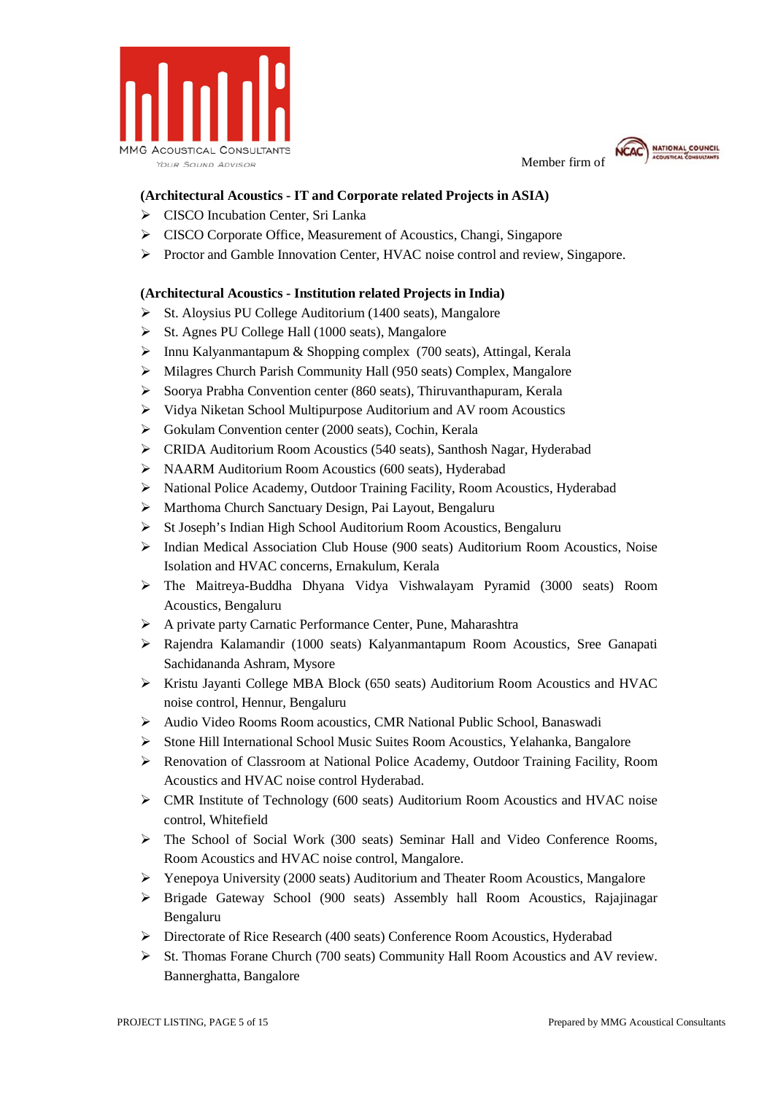



### **(Architectural Acoustics - IT and Corporate related Projects in ASIA)**

- CISCO Incubation Center, Sri Lanka
- CISCO Corporate Office, Measurement of Acoustics, Changi, Singapore
- Proctor and Gamble Innovation Center, HVAC noise control and review, Singapore.

#### **(Architectural Acoustics - Institution related Projects in India)**

- $\triangleright$  St. Aloysius PU College Auditorium (1400 seats), Mangalore
- $\triangleright$  St. Agnes PU College Hall (1000 seats), Mangalore
- $\triangleright$  Innu Kalyanmantapum & Shopping complex (700 seats), Attingal, Kerala
- $\triangleright$  Milagres Church Parish Community Hall (950 seats) Complex, Mangalore
- Soorya Prabha Convention center (860 seats), Thiruvanthapuram, Kerala
- $\triangleright$  Vidya Niketan School Multipurpose Auditorium and AV room Acoustics
- Gokulam Convention center (2000 seats), Cochin, Kerala
- CRIDA Auditorium Room Acoustics (540 seats), Santhosh Nagar, Hyderabad
- NAARM Auditorium Room Acoustics (600 seats), Hyderabad
- National Police Academy, Outdoor Training Facility, Room Acoustics, Hyderabad
- Marthoma Church Sanctuary Design, Pai Layout, Bengaluru
- > St Joseph's Indian High School Auditorium Room Acoustics, Bengaluru
- $\triangleright$  Indian Medical Association Club House (900 seats) Auditorium Room Acoustics, Noise Isolation and HVAC concerns, Ernakulum, Kerala
- The Maitreya-Buddha Dhyana Vidya Vishwalayam Pyramid (3000 seats) Room Acoustics, Bengaluru
- A private party Carnatic Performance Center, Pune, Maharashtra
- Rajendra Kalamandir (1000 seats) Kalyanmantapum Room Acoustics, Sree Ganapati Sachidananda Ashram, Mysore
- $\triangleright$  Kristu Jayanti College MBA Block (650 seats) Auditorium Room Acoustics and HVAC noise control, Hennur, Bengaluru
- Audio Video Rooms Room acoustics, CMR National Public School, Banaswadi
- $\triangleright$  Stone Hill International School Music Suites Room Acoustics, Yelahanka, Bangalore
- Renovation of Classroom at National Police Academy, Outdoor Training Facility, Room Acoustics and HVAC noise control Hyderabad.
- $\triangleright$  CMR Institute of Technology (600 seats) Auditorium Room Acoustics and HVAC noise control, Whitefield
- $\triangleright$  The School of Social Work (300 seats) Seminar Hall and Video Conference Rooms, Room Acoustics and HVAC noise control, Mangalore.
- $\triangleright$  Yenepoya University (2000 seats) Auditorium and Theater Room Acoustics, Mangalore
- Brigade Gateway School (900 seats) Assembly hall Room Acoustics, Rajajinagar Bengaluru
- Directorate of Rice Research (400 seats) Conference Room Acoustics, Hyderabad
- $\triangleright$  St. Thomas Forane Church (700 seats) Community Hall Room Acoustics and AV review. Bannerghatta, Bangalore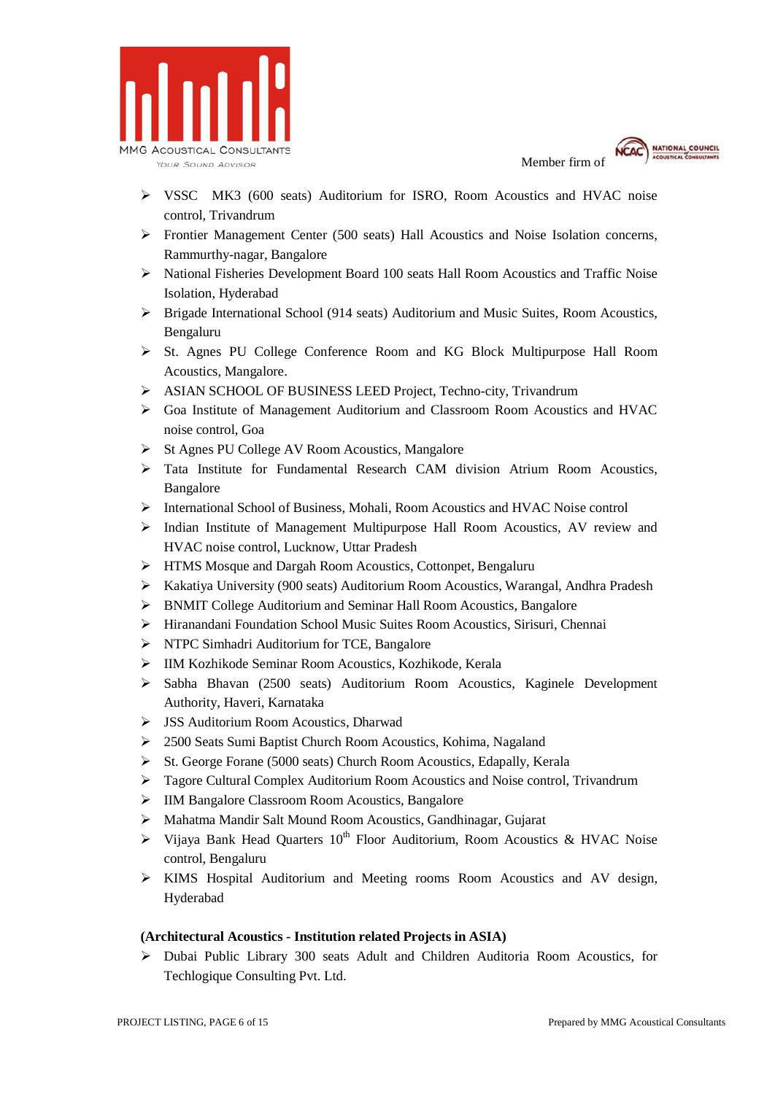



- VSSC MK3 (600 seats) Auditorium for ISRO, Room Acoustics and HVAC noise control, Trivandrum
- Frontier Management Center (500 seats) Hall Acoustics and Noise Isolation concerns, Rammurthy-nagar, Bangalore
- National Fisheries Development Board 100 seats Hall Room Acoustics and Traffic Noise Isolation, Hyderabad
- $\triangleright$  Brigade International School (914 seats) Auditorium and Music Suites, Room Acoustics, Bengaluru
- St. Agnes PU College Conference Room and KG Block Multipurpose Hall Room Acoustics, Mangalore.
- > ASIAN SCHOOL OF BUSINESS LEED Project, Techno-city, Trivandrum
- Goa Institute of Management Auditorium and Classroom Room Acoustics and HVAC noise control, Goa
- St Agnes PU College AV Room Acoustics, Mangalore
- $\triangleright$  Tata Institute for Fundamental Research CAM division Atrium Room Acoustics, Bangalore
- International School of Business, Mohali, Room Acoustics and HVAC Noise control
- $\triangleright$  Indian Institute of Management Multipurpose Hall Room Acoustics, AV review and HVAC noise control, Lucknow, Uttar Pradesh
- HTMS Mosque and Dargah Room Acoustics, Cottonpet, Bengaluru
- Kakatiya University (900 seats) Auditorium Room Acoustics, Warangal, Andhra Pradesh
- BNMIT College Auditorium and Seminar Hall Room Acoustics, Bangalore
- Hiranandani Foundation School Music Suites Room Acoustics, Sirisuri, Chennai
- > NTPC Simhadri Auditorium for TCE, Bangalore
- IIM Kozhikode Seminar Room Acoustics, Kozhikode, Kerala
- Sabha Bhavan (2500 seats) Auditorium Room Acoustics, Kaginele Development Authority, Haveri, Karnataka
- JSS Auditorium Room Acoustics, Dharwad
- 2500 Seats Sumi Baptist Church Room Acoustics, Kohima, Nagaland
- $\triangleright$  St. George Forane (5000 seats) Church Room Acoustics, Edapally, Kerala
- Tagore Cultural Complex Auditorium Room Acoustics and Noise control, Trivandrum
- IIM Bangalore Classroom Room Acoustics, Bangalore
- Mahatma Mandir Salt Mound Room Acoustics, Gandhinagar, Gujarat
- $\triangleright$  Vijaya Bank Head Quarters 10<sup>th</sup> Floor Auditorium, Room Acoustics & HVAC Noise control, Bengaluru
- $\triangleright$  KIMS Hospital Auditorium and Meeting rooms Room Acoustics and AV design, Hyderabad

## **(Architectural Acoustics - Institution related Projects in ASIA)**

 Dubai Public Library 300 seats Adult and Children Auditoria Room Acoustics, for Techlogique Consulting Pvt. Ltd.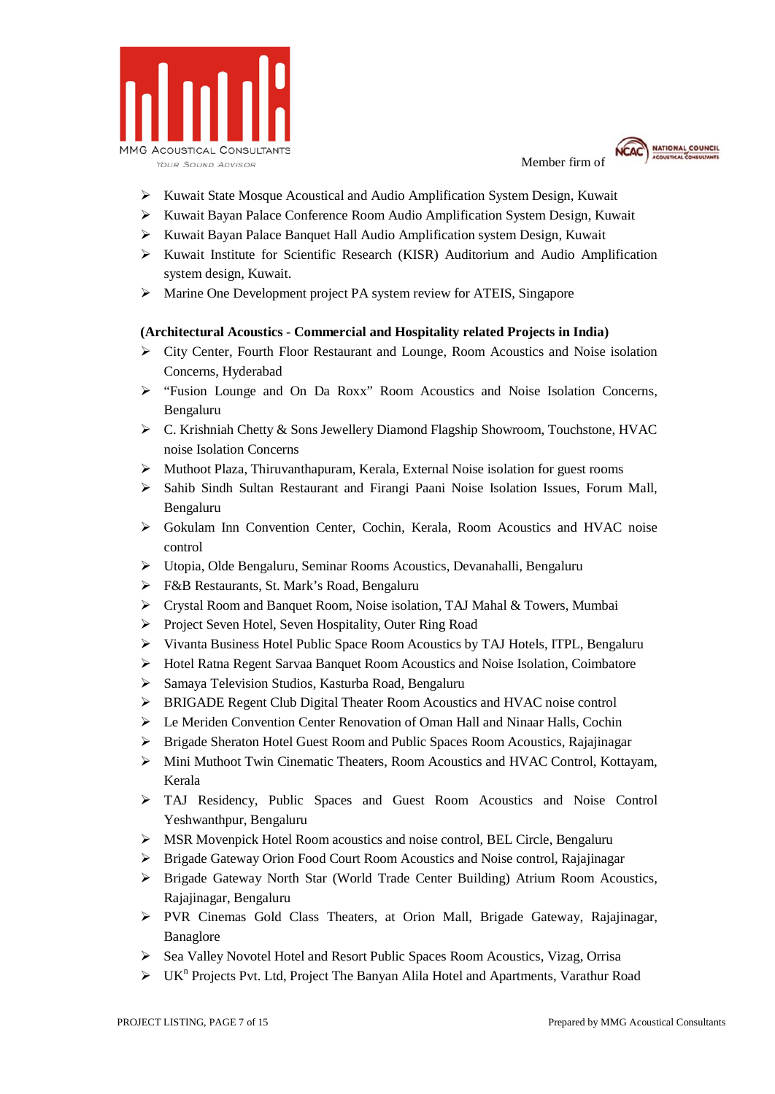



- $\triangleright$  Kuwait State Mosque Acoustical and Audio Amplification System Design, Kuwait
- Kuwait Bayan Palace Conference Room Audio Amplification System Design, Kuwait
- Kuwait Bayan Palace Banquet Hall Audio Amplification system Design, Kuwait
- $\triangleright$  Kuwait Institute for Scientific Research (KISR) Auditorium and Audio Amplification system design, Kuwait.
- Marine One Development project PA system review for ATEIS, Singapore

#### **(Architectural Acoustics - Commercial and Hospitality related Projects in India)**

- $\triangleright$  City Center, Fourth Floor Restaurant and Lounge, Room Acoustics and Noise isolation Concerns, Hyderabad
- "Fusion Lounge and On Da Roxx" Room Acoustics and Noise Isolation Concerns, Bengaluru
- $\triangleright$  C. Krishniah Chetty & Sons Jewellery Diamond Flagship Showroom, Touchstone, HVAC noise Isolation Concerns
- Muthoot Plaza, Thiruvanthapuram, Kerala, External Noise isolation for guest rooms
- Sahib Sindh Sultan Restaurant and Firangi Paani Noise Isolation Issues, Forum Mall, Bengaluru
- Gokulam Inn Convention Center, Cochin, Kerala, Room Acoustics and HVAC noise control
- Utopia, Olde Bengaluru, Seminar Rooms Acoustics, Devanahalli, Bengaluru
- F&B Restaurants, St. Mark's Road, Bengaluru
- $\triangleright$  Crystal Room and Banquet Room, Noise isolation, TAJ Mahal & Towers, Mumbai
- Project Seven Hotel, Seven Hospitality, Outer Ring Road
- $\triangleright$  Vivanta Business Hotel Public Space Room Acoustics by TAJ Hotels, ITPL, Bengaluru
- Hotel Ratna Regent Sarvaa Banquet Room Acoustics and Noise Isolation, Coimbatore
- Samaya Television Studios, Kasturba Road, Bengaluru
- BRIGADE Regent Club Digital Theater Room Acoustics and HVAC noise control
- Le Meriden Convention Center Renovation of Oman Hall and Ninaar Halls, Cochin
- Brigade Sheraton Hotel Guest Room and Public Spaces Room Acoustics, Rajajinagar
- Mini Muthoot Twin Cinematic Theaters, Room Acoustics and HVAC Control, Kottayam, Kerala
- TAJ Residency, Public Spaces and Guest Room Acoustics and Noise Control Yeshwanthpur, Bengaluru
- MSR Movenpick Hotel Room acoustics and noise control, BEL Circle, Bengaluru
- Brigade Gateway Orion Food Court Room Acoustics and Noise control, Rajajinagar
- Brigade Gateway North Star (World Trade Center Building) Atrium Room Acoustics, Rajajinagar, Bengaluru
- PVR Cinemas Gold Class Theaters, at Orion Mall, Brigade Gateway, Rajajinagar, Banaglore
- Sea Valley Novotel Hotel and Resort Public Spaces Room Acoustics, Vizag, Orrisa
- > UK<sup>n</sup> Projects Pvt. Ltd, Project The Banyan Alila Hotel and Apartments, Varathur Road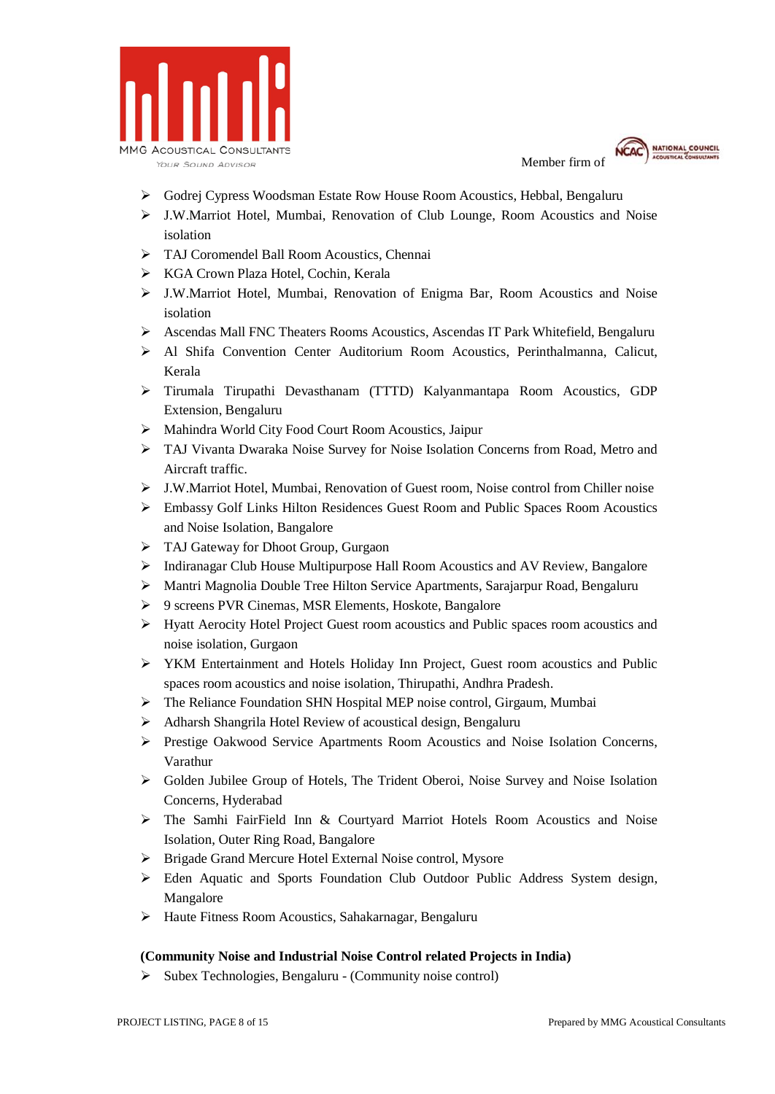



- Godrej Cypress Woodsman Estate Row House Room Acoustics, Hebbal, Bengaluru
- J.W.Marriot Hotel, Mumbai, Renovation of Club Lounge, Room Acoustics and Noise isolation
- > TAJ Coromendel Ball Room Acoustics, Chennai
- KGA Crown Plaza Hotel, Cochin, Kerala
- J.W.Marriot Hotel, Mumbai, Renovation of Enigma Bar, Room Acoustics and Noise isolation
- Ascendas Mall FNC Theaters Rooms Acoustics, Ascendas IT Park Whitefield, Bengaluru
- Al Shifa Convention Center Auditorium Room Acoustics, Perinthalmanna, Calicut, Kerala
- Tirumala Tirupathi Devasthanam (TTTD) Kalyanmantapa Room Acoustics, GDP Extension, Bengaluru
- Mahindra World City Food Court Room Acoustics, Jaipur
- TAJ Vivanta Dwaraka Noise Survey for Noise Isolation Concerns from Road, Metro and Aircraft traffic.
- J.W.Marriot Hotel, Mumbai, Renovation of Guest room, Noise control from Chiller noise
- Embassy Golf Links Hilton Residences Guest Room and Public Spaces Room Acoustics and Noise Isolation, Bangalore
- > TAJ Gateway for Dhoot Group, Gurgaon
- Indiranagar Club House Multipurpose Hall Room Acoustics and AV Review, Bangalore
- Mantri Magnolia Double Tree Hilton Service Apartments, Sarajarpur Road, Bengaluru
- 9 screens PVR Cinemas, MSR Elements, Hoskote, Bangalore
- Hyatt Aerocity Hotel Project Guest room acoustics and Public spaces room acoustics and noise isolation, Gurgaon
- YKM Entertainment and Hotels Holiday Inn Project, Guest room acoustics and Public spaces room acoustics and noise isolation, Thirupathi, Andhra Pradesh.
- The Reliance Foundation SHN Hospital MEP noise control, Girgaum, Mumbai
- Adharsh Shangrila Hotel Review of acoustical design, Bengaluru
- Prestige Oakwood Service Apartments Room Acoustics and Noise Isolation Concerns, Varathur
- Golden Jubilee Group of Hotels, The Trident Oberoi, Noise Survey and Noise Isolation Concerns, Hyderabad
- $\triangleright$  The Samhi FairField Inn & Courtyard Marriot Hotels Room Acoustics and Noise Isolation, Outer Ring Road, Bangalore
- Brigade Grand Mercure Hotel External Noise control, Mysore
- Eden Aquatic and Sports Foundation Club Outdoor Public Address System design, Mangalore
- Haute Fitness Room Acoustics, Sahakarnagar, Bengaluru

## **(Community Noise and Industrial Noise Control related Projects in India)**

 $\triangleright$  Subex Technologies, Bengaluru - (Community noise control)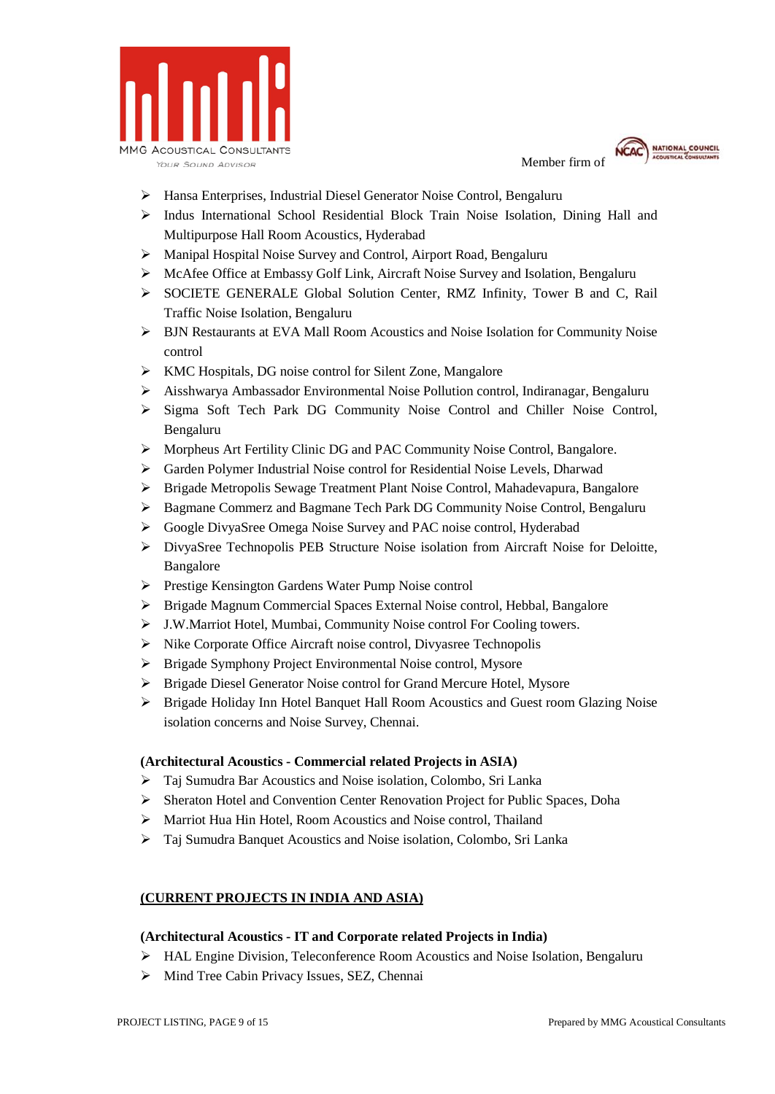



- Hansa Enterprises, Industrial Diesel Generator Noise Control, Bengaluru
- $\triangleright$  Indus International School Residential Block Train Noise Isolation, Dining Hall and Multipurpose Hall Room Acoustics, Hyderabad
- Manipal Hospital Noise Survey and Control, Airport Road, Bengaluru
- $\triangleright$  McAfee Office at Embassy Golf Link, Aircraft Noise Survey and Isolation, Bengaluru
- SOCIETE GENERALE Global Solution Center, RMZ Infinity, Tower B and C, Rail Traffic Noise Isolation, Bengaluru
- BJN Restaurants at EVA Mall Room Acoustics and Noise Isolation for Community Noise control
- KMC Hospitals, DG noise control for Silent Zone, Mangalore
- Aisshwarya Ambassador Environmental Noise Pollution control, Indiranagar, Bengaluru
- > Sigma Soft Tech Park DG Community Noise Control and Chiller Noise Control, Bengaluru
- Morpheus Art Fertility Clinic DG and PAC Community Noise Control, Bangalore.
- Garden Polymer Industrial Noise control for Residential Noise Levels, Dharwad
- Brigade Metropolis Sewage Treatment Plant Noise Control, Mahadevapura, Bangalore
- Bagmane Commerz and Bagmane Tech Park DG Community Noise Control, Bengaluru
- Google DivyaSree Omega Noise Survey and PAC noise control, Hyderabad
- DivyaSree Technopolis PEB Structure Noise isolation from Aircraft Noise for Deloitte, Bangalore
- Prestige Kensington Gardens Water Pump Noise control
- Brigade Magnum Commercial Spaces External Noise control, Hebbal, Bangalore
- J.W.Marriot Hotel, Mumbai, Community Noise control For Cooling towers.
- $\triangleright$  Nike Corporate Office Aircraft noise control, Divyasree Technopolis
- Brigade Symphony Project Environmental Noise control, Mysore
- Brigade Diesel Generator Noise control for Grand Mercure Hotel, Mysore
- Brigade Holiday Inn Hotel Banquet Hall Room Acoustics and Guest room Glazing Noise isolation concerns and Noise Survey, Chennai.

#### **(Architectural Acoustics - Commercial related Projects in ASIA)**

- Taj Sumudra Bar Acoustics and Noise isolation, Colombo, Sri Lanka
- Sheraton Hotel and Convention Center Renovation Project for Public Spaces, Doha
- Marriot Hua Hin Hotel, Room Acoustics and Noise control, Thailand
- Taj Sumudra Banquet Acoustics and Noise isolation, Colombo, Sri Lanka

## **(CURRENT PROJECTS IN INDIA AND ASIA)**

#### **(Architectural Acoustics - IT and Corporate related Projects in India)**

- HAL Engine Division, Teleconference Room Acoustics and Noise Isolation, Bengaluru
- $\triangleright$  Mind Tree Cabin Privacy Issues, SEZ, Chennai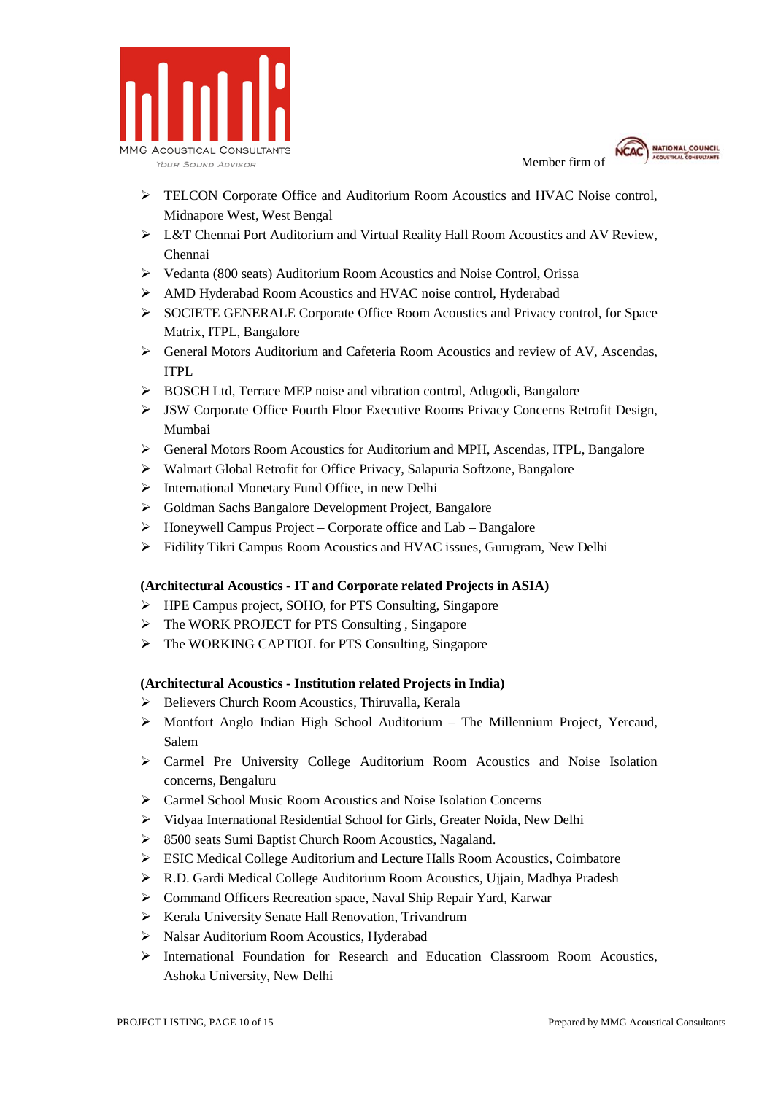



- TELCON Corporate Office and Auditorium Room Acoustics and HVAC Noise control, Midnapore West, West Bengal
- L&T Chennai Port Auditorium and Virtual Reality Hall Room Acoustics and AV Review, Chennai
- Vedanta (800 seats) Auditorium Room Acoustics and Noise Control, Orissa
- AMD Hyderabad Room Acoustics and HVAC noise control, Hyderabad
- SOCIETE GENERALE Corporate Office Room Acoustics and Privacy control, for Space Matrix, ITPL, Bangalore
- General Motors Auditorium and Cafeteria Room Acoustics and review of AV, Ascendas, ITPL
- > BOSCH Ltd, Terrace MEP noise and vibration control, Adugodi, Bangalore
- JSW Corporate Office Fourth Floor Executive Rooms Privacy Concerns Retrofit Design, Mumbai
- General Motors Room Acoustics for Auditorium and MPH, Ascendas, ITPL, Bangalore
- Walmart Global Retrofit for Office Privacy, Salapuria Softzone, Bangalore
- $\triangleright$  International Monetary Fund Office, in new Delhi
- Goldman Sachs Bangalore Development Project, Bangalore
- $\triangleright$  Honeywell Campus Project Corporate office and Lab Bangalore
- Fidility Tikri Campus Room Acoustics and HVAC issues, Gurugram, New Delhi

## **(Architectural Acoustics - IT and Corporate related Projects in ASIA)**

- HPE Campus project, SOHO, for PTS Consulting, Singapore
- $\triangleright$  The WORK PROJECT for PTS Consulting, Singapore
- $\triangleright$  The WORKING CAPTIOL for PTS Consulting, Singapore

## **(Architectural Acoustics - Institution related Projects in India)**

- ▶ Believers Church Room Acoustics, Thiruvalla, Kerala
- $\triangleright$  Montfort Anglo Indian High School Auditorium The Millennium Project, Yercaud, Salem
- Carmel Pre University College Auditorium Room Acoustics and Noise Isolation concerns, Bengaluru
- Carmel School Music Room Acoustics and Noise Isolation Concerns
- Vidyaa International Residential School for Girls, Greater Noida, New Delhi
- 8500 seats Sumi Baptist Church Room Acoustics, Nagaland.
- ESIC Medical College Auditorium and Lecture Halls Room Acoustics, Coimbatore
- R.D. Gardi Medical College Auditorium Room Acoustics, Ujjain, Madhya Pradesh
- Command Officers Recreation space, Naval Ship Repair Yard, Karwar
- $\triangleright$  Kerala University Senate Hall Renovation, Trivandrum
- Nalsar Auditorium Room Acoustics, Hyderabad
- International Foundation for Research and Education Classroom Room Acoustics, Ashoka University, New Delhi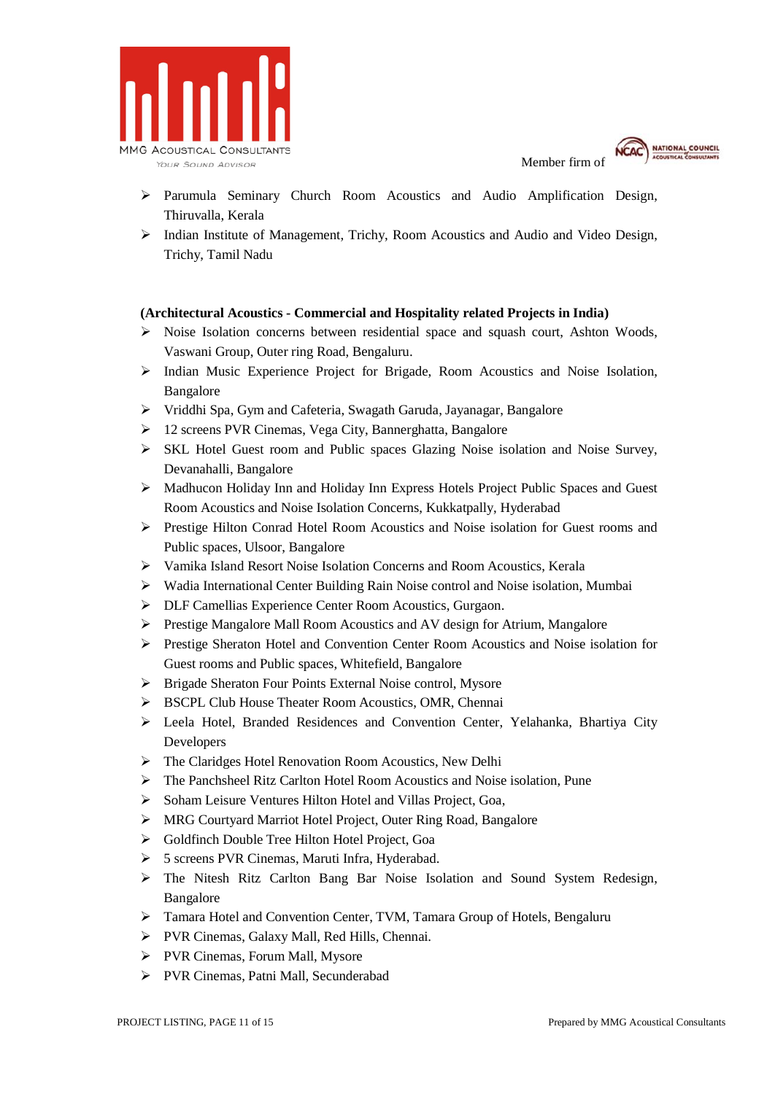



- $\triangleright$  Parumula Seminary Church Room Acoustics and Audio Amplification Design, Thiruvalla, Kerala
- $\triangleright$  Indian Institute of Management, Trichy, Room Acoustics and Audio and Video Design, Trichy, Tamil Nadu

#### **(Architectural Acoustics - Commercial and Hospitality related Projects in India)**

- $\triangleright$  Noise Isolation concerns between residential space and squash court, Ashton Woods, Vaswani Group, Outer ring Road, Bengaluru.
- $\triangleright$  Indian Music Experience Project for Brigade, Room Acoustics and Noise Isolation, Bangalore
- Vriddhi Spa, Gym and Cafeteria, Swagath Garuda, Jayanagar, Bangalore
- 12 screens PVR Cinemas, Vega City, Bannerghatta, Bangalore
- $\triangleright$  SKL Hotel Guest room and Public spaces Glazing Noise isolation and Noise Survey, Devanahalli, Bangalore
- Madhucon Holiday Inn and Holiday Inn Express Hotels Project Public Spaces and Guest Room Acoustics and Noise Isolation Concerns, Kukkatpally, Hyderabad
- Prestige Hilton Conrad Hotel Room Acoustics and Noise isolation for Guest rooms and Public spaces, Ulsoor, Bangalore
- Vamika Island Resort Noise Isolation Concerns and Room Acoustics, Kerala
- Wadia International Center Building Rain Noise control and Noise isolation, Mumbai
- DLF Camellias Experience Center Room Acoustics, Gurgaon.
- Prestige Mangalore Mall Room Acoustics and AV design for Atrium, Mangalore
- Prestige Sheraton Hotel and Convention Center Room Acoustics and Noise isolation for Guest rooms and Public spaces, Whitefield, Bangalore
- $\triangleright$  Brigade Sheraton Four Points External Noise control, Mysore
- BSCPL Club House Theater Room Acoustics, OMR, Chennai
- Leela Hotel, Branded Residences and Convention Center, Yelahanka, Bhartiya City Developers
- The Claridges Hotel Renovation Room Acoustics, New Delhi
- The Panchsheel Ritz Carlton Hotel Room Acoustics and Noise isolation, Pune
- $\triangleright$  Soham Leisure Ventures Hilton Hotel and Villas Project, Goa,
- MRG Courtyard Marriot Hotel Project, Outer Ring Road, Bangalore
- Goldfinch Double Tree Hilton Hotel Project, Goa
- 5 screens PVR Cinemas, Maruti Infra, Hyderabad.
- The Nitesh Ritz Carlton Bang Bar Noise Isolation and Sound System Redesign, Bangalore
- Tamara Hotel and Convention Center, TVM, Tamara Group of Hotels, Bengaluru
- PVR Cinemas, Galaxy Mall, Red Hills, Chennai.
- > PVR Cinemas, Forum Mall, Mysore
- PVR Cinemas, Patni Mall, Secunderabad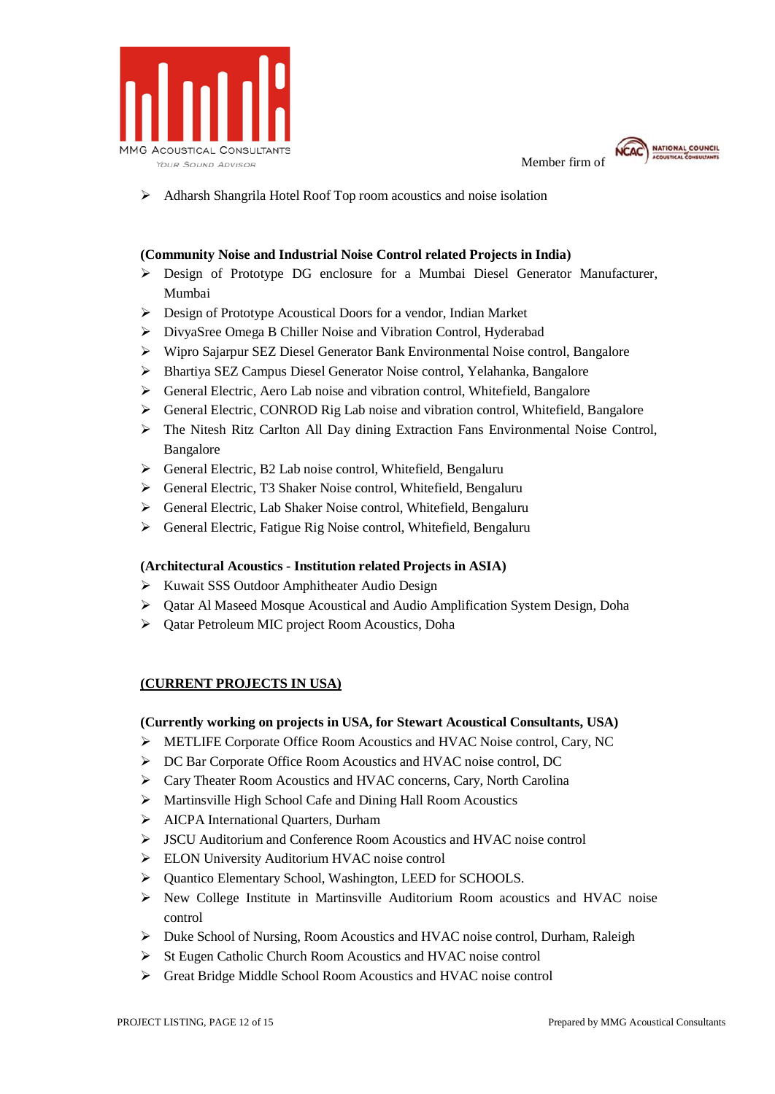



Adharsh Shangrila Hotel Roof Top room acoustics and noise isolation

### **(Community Noise and Industrial Noise Control related Projects in India)**

- Design of Prototype DG enclosure for a Mumbai Diesel Generator Manufacturer, Mumbai
- Design of Prototype Acoustical Doors for a vendor, Indian Market
- DivyaSree Omega B Chiller Noise and Vibration Control, Hyderabad
- Wipro Sajarpur SEZ Diesel Generator Bank Environmental Noise control, Bangalore
- Bhartiya SEZ Campus Diesel Generator Noise control, Yelahanka, Bangalore
- General Electric, Aero Lab noise and vibration control, Whitefield, Bangalore
- General Electric, CONROD Rig Lab noise and vibration control, Whitefield, Bangalore
- The Nitesh Ritz Carlton All Day dining Extraction Fans Environmental Noise Control, Bangalore
- $\triangleright$  General Electric, B2 Lab noise control, Whitefield, Bengaluru
- General Electric, T3 Shaker Noise control, Whitefield, Bengaluru
- General Electric, Lab Shaker Noise control, Whitefield, Bengaluru
- General Electric, Fatigue Rig Noise control, Whitefield, Bengaluru

#### **(Architectural Acoustics - Institution related Projects in ASIA)**

- $\triangleright$  Kuwait SSS Outdoor Amphitheater Audio Design
- $\triangleright$  Oatar Al Maseed Mosque Acoustical and Audio Amplification System Design, Doha
- Qatar Petroleum MIC project Room Acoustics, Doha

## **(CURRENT PROJECTS IN USA)**

#### **(Currently working on projects in USA, for Stewart Acoustical Consultants, USA)**

- METLIFE Corporate Office Room Acoustics and HVAC Noise control, Cary, NC
- DC Bar Corporate Office Room Acoustics and HVAC noise control, DC
- Cary Theater Room Acoustics and HVAC concerns, Cary, North Carolina
- Martinsville High School Cafe and Dining Hall Room Acoustics
- > AICPA International Quarters, Durham
- JSCU Auditorium and Conference Room Acoustics and HVAC noise control
- ELON University Auditorium HVAC noise control
- > Ouantico Elementary School, Washington, LEED for SCHOOLS.
- $\triangleright$  New College Institute in Martinsville Auditorium Room acoustics and HVAC noise control
- $\triangleright$  Duke School of Nursing, Room Acoustics and HVAC noise control, Durham, Raleigh
- St Eugen Catholic Church Room Acoustics and HVAC noise control
- Great Bridge Middle School Room Acoustics and HVAC noise control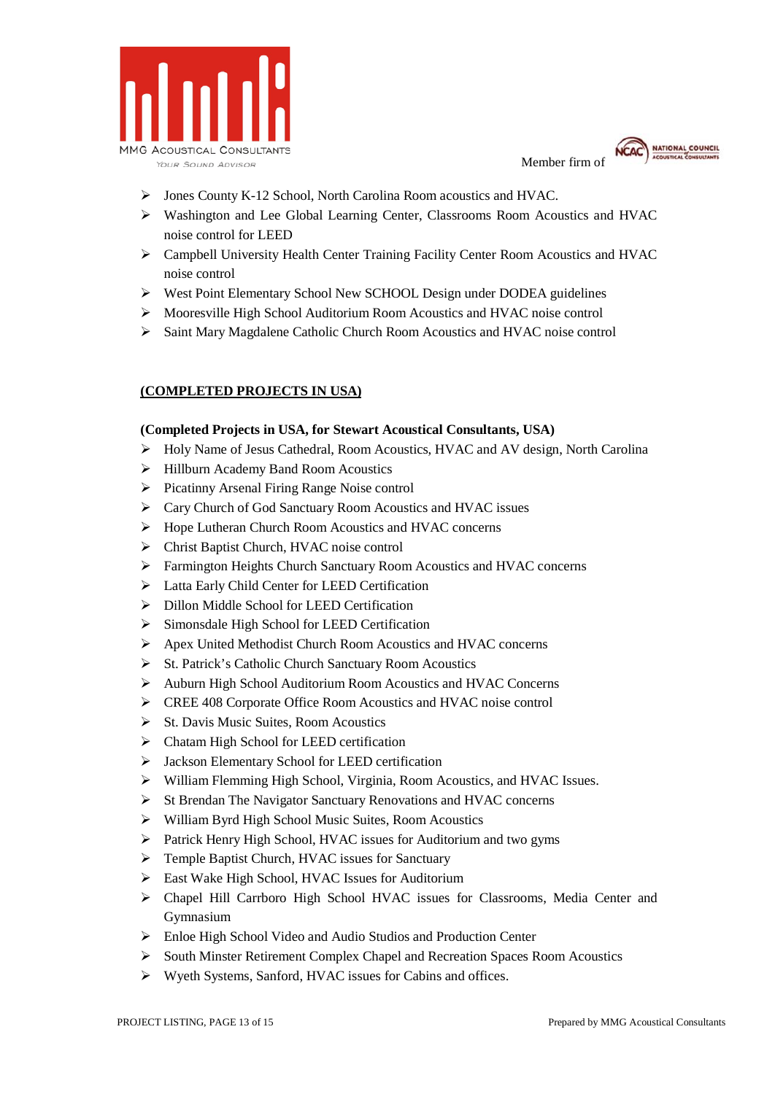



- Jones County K-12 School, North Carolina Room acoustics and HVAC.
- Washington and Lee Global Learning Center, Classrooms Room Acoustics and HVAC noise control for LEED
- Campbell University Health Center Training Facility Center Room Acoustics and HVAC noise control
- West Point Elementary School New SCHOOL Design under DODEA guidelines
- Mooresville High School Auditorium Room Acoustics and HVAC noise control
- Saint Mary Magdalene Catholic Church Room Acoustics and HVAC noise control

## **(COMPLETED PROJECTS IN USA)**

#### **(Completed Projects in USA, for Stewart Acoustical Consultants, USA)**

- Holy Name of Jesus Cathedral, Room Acoustics, HVAC and AV design, North Carolina
- $\triangleright$  Hillburn Academy Band Room Acoustics
- $\triangleright$  Picatinny Arsenal Firing Range Noise control
- Cary Church of God Sanctuary Room Acoustics and HVAC issues
- Hope Lutheran Church Room Acoustics and HVAC concerns
- Christ Baptist Church, HVAC noise control
- Farmington Heights Church Sanctuary Room Acoustics and HVAC concerns
- Latta Early Child Center for LEED Certification
- > Dillon Middle School for LEED Certification
- $\triangleright$  Simonsdale High School for LEED Certification
- Apex United Methodist Church Room Acoustics and HVAC concerns
- $\triangleright$  St. Patrick's Catholic Church Sanctuary Room Acoustics
- Auburn High School Auditorium Room Acoustics and HVAC Concerns
- CREE 408 Corporate Office Room Acoustics and HVAC noise control
- $\triangleright$  St. Davis Music Suites, Room Acoustics
- $\triangleright$  Chatam High School for LEED certification
- Jackson Elementary School for LEED certification
- William Flemming High School, Virginia, Room Acoustics, and HVAC Issues.
- $\triangleright$  St Brendan The Navigator Sanctuary Renovations and HVAC concerns
- William Byrd High School Music Suites, Room Acoustics
- $\triangleright$  Patrick Henry High School, HVAC issues for Auditorium and two gyms
- $\triangleright$  Temple Baptist Church, HVAC issues for Sanctuary
- East Wake High School, HVAC Issues for Auditorium
- Chapel Hill Carrboro High School HVAC issues for Classrooms, Media Center and Gymnasium
- Enloe High School Video and Audio Studios and Production Center
- South Minster Retirement Complex Chapel and Recreation Spaces Room Acoustics
- Wyeth Systems, Sanford, HVAC issues for Cabins and offices.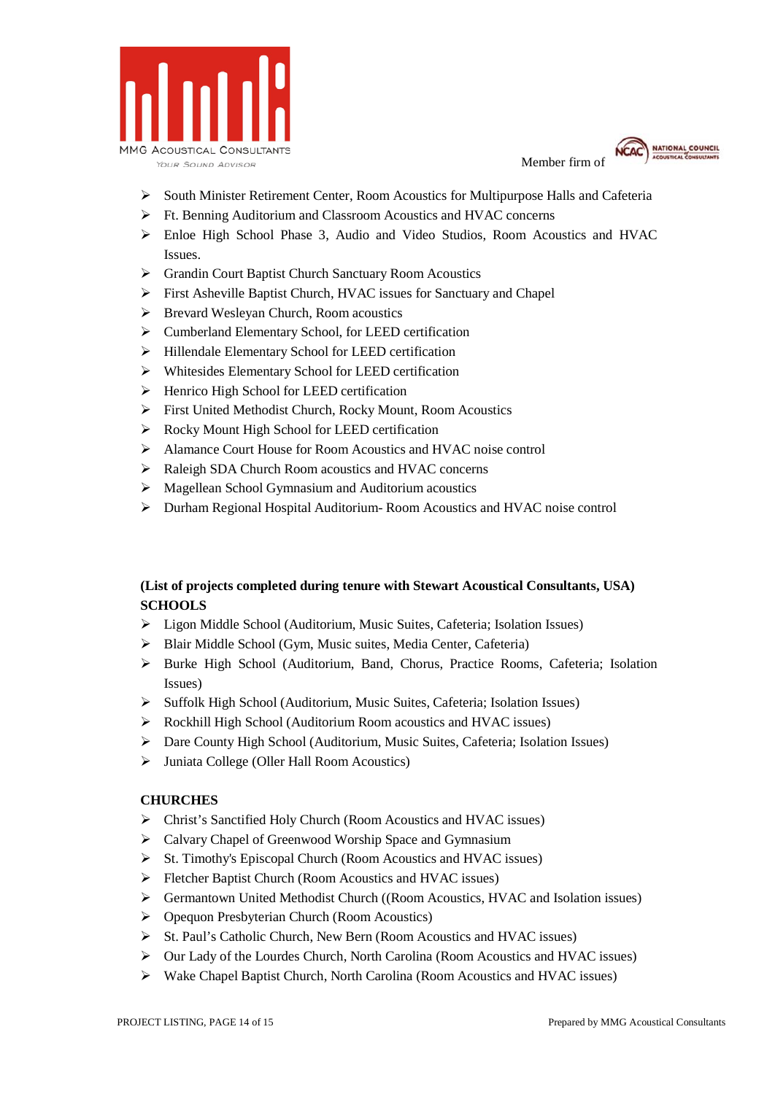



- $\triangleright$  South Minister Retirement Center, Room Acoustics for Multipurpose Halls and Cafeteria
- Ft. Benning Auditorium and Classroom Acoustics and HVAC concerns
- Enloe High School Phase 3, Audio and Video Studios, Room Acoustics and HVAC Issues.
- Grandin Court Baptist Church Sanctuary Room Acoustics
- First Asheville Baptist Church, HVAC issues for Sanctuary and Chapel
- $\triangleright$  Brevard Wesleyan Church, Room acoustics
- Cumberland Elementary School, for LEED certification
- Hillendale Elementary School for LEED certification
- Whitesides Elementary School for LEED certification
- $\triangleright$  Henrico High School for LEED certification
- First United Methodist Church, Rocky Mount, Room Acoustics
- Rocky Mount High School for LEED certification
- Alamance Court House for Room Acoustics and HVAC noise control
- Raleigh SDA Church Room acoustics and HVAC concerns
- Magellean School Gymnasium and Auditorium acoustics
- Durham Regional Hospital Auditorium- Room Acoustics and HVAC noise control

## **(List of projects completed during tenure with Stewart Acoustical Consultants, USA) SCHOOLS**

- Ligon Middle School (Auditorium, Music Suites, Cafeteria; Isolation Issues)
- Blair Middle School (Gym, Music suites, Media Center, Cafeteria)
- Burke High School (Auditorium, Band, Chorus, Practice Rooms, Cafeteria; Isolation Issues)
- Suffolk High School (Auditorium, Music Suites, Cafeteria; Isolation Issues)
- Rockhill High School (Auditorium Room acoustics and HVAC issues)
- Dare County High School (Auditorium, Music Suites, Cafeteria; Isolation Issues)
- Juniata College (Oller Hall Room Acoustics)

## **CHURCHES**

- Christ's Sanctified Holy Church (Room Acoustics and HVAC issues)
- Calvary Chapel of Greenwood Worship Space and Gymnasium
- $\triangleright$  St. Timothy's Episcopal Church (Room Acoustics and HVAC issues)
- $\triangleright$  Fletcher Baptist Church (Room Acoustics and HVAC issues)
- Germantown United Methodist Church ((Room Acoustics, HVAC and Isolation issues)
- Opequon Presbyterian Church (Room Acoustics)
- St. Paul's Catholic Church, New Bern (Room Acoustics and HVAC issues)
- $\triangleright$  Our Lady of the Lourdes Church, North Carolina (Room Acoustics and HVAC issues)
- $\triangleright$  Wake Chapel Baptist Church, North Carolina (Room Acoustics and HVAC issues)